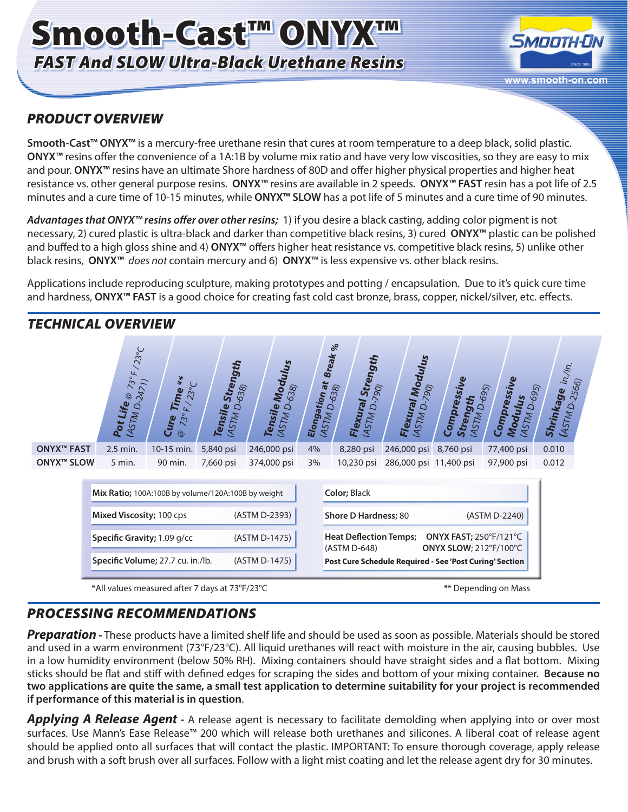# Smooth-Cast™ ONYX™ *FAST And SLOW Ultra-Black Urethane Resins*



# *PRODUCT OVERVIEW*

**Smooth-Cast™ ONYX™** is a mercury-free urethane resin that cures at room temperature to a deep black, solid plastic. **ONYX™** resins offer the convenience of a 1A:1B by volume mix ratio and have very low viscosities, so they are easy to mix and pour. **ONYX™** resins have an ultimate Shore hardness of 80D and offer higher physical properties and higher heat resistance vs. other general purpose resins. **ONYX™** resins are available in 2 speeds. **ONYX™ FAST** resin has a pot life of 2.5 minutes and a cure time of 10-15 minutes, while **ONYX™ SLOW** has a pot life of 5 minutes and a cure time of 90 minutes.

*Advantages that ONYX™ resins offer over other resins;* 1) if you desire a black casting, adding color pigment is not necessary, 2) cured plastic is ultra-black and darker than competitive black resins, 3) cured **ONYX™** plastic can be polished and buffed to a high gloss shine and 4) **ONYX™** offers higher heat resistance vs. competitive black resins, 5) unlike other black resins, **ONYX™** *does not* contain mercury and 6) **ONYX™** is less expensive vs. other black resins.

Applications include reproducing sculpture, making prototypes and potting / encapsulation. Due to it's quick cure time and hardness, **ONYX™ FAST** is a good choice for creating fast cold cast bronze, brass, copper, nickel/silver, etc. effects.



# *PROCESSING RECOMMENDATIONS*

*Preparation -* These products have a limited shelf life and should be used as soon as possible. Materials should be stored and used in a warm environment (73°F/23°C). All liquid urethanes will react with moisture in the air, causing bubbles. Use in a low humidity environment (below 50% RH). Mixing containers should have straight sides and a flat bottom. Mixing sticks should be flat and stiff with defined edges for scraping the sides and bottom of your mixing container. **Because no two applications are quite the same, a small test application to determine suitability for your project is recommended if performance of this material is in question**.

*Applying A Release Agent -* A release agent is necessary to facilitate demolding when applying into or over most surfaces. Use Mann's Ease Release™ 200 which will release both urethanes and silicones. A liberal coat of release agent should be applied onto all surfaces that will contact the plastic. IMPORTANT: To ensure thorough coverage, apply release and brush with a soft brush over all surfaces. Follow with a light mist coating and let the release agent dry for 30 minutes.